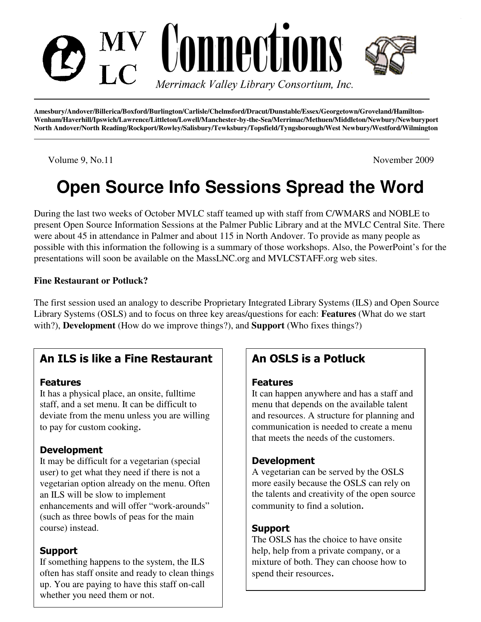

**Amesbury/Andover/Billerica/Boxford/Burlington/Carlisle/Chelmsford/Dracut/Dunstable/Essex/Georgetown/Groveland/Hamilton-Wenham/Haverhill/Ipswich/Lawrence/Littleton/Lowell/Manchester-by-the-Sea/Merrimac/Methuen/Middleton/Newbury/Newburyport North Andover/North Reading/Rockport/Rowley/Salisbury/Tewksbury/Topsfield/Tyngsborough/West Newbury/Westford/Wilmington** 

Volume 9, No.11 November 2009

# **Open Source Info Sessions Spread the Word**

During the last two weeks of October MVLC staff teamed up with staff from C/WMARS and NOBLE to present Open Source Information Sessions at the Palmer Public Library and at the MVLC Central Site. There were about 45 in attendance in Palmer and about 115 in North Andover. To provide as many people as possible with this information the following is a summary of those workshops. Also, the PowerPoint's for the presentations will soon be available on the MassLNC.org and MVLCSTAFF.org web sites.

#### **Fine Restaurant or Potluck?**

The first session used an analogy to describe Proprietary Integrated Library Systems (ILS) and Open Source Library Systems (OSLS) and to focus on three key areas/questions for each: **Features** (What do we start with?), **Development** (How do we improve things?), and **Support** (Who fixes things?)

# An ILS is like a Fine Restaurant

#### Features

It has a physical place, an onsite, fulltime staff, and a set menu. It can be difficult to deviate from the menu unless you are willing to pay for custom cooking.

## **Development**

It may be difficult for a vegetarian (special user) to get what they need if there is not a vegetarian option already on the menu. Often an ILS will be slow to implement enhancements and will offer "work-arounds" (such as three bowls of peas for the main course) instead.

# Support

If something happens to the system, the ILS often has staff onsite and ready to clean things up. You are paying to have this staff on-call whether you need them or not.

# An OSLS is a Potluck

#### Features

It can happen anywhere and has a staff and menu that depends on the available talent and resources. A structure for planning and communication is needed to create a menu that meets the needs of the customers.

## Development

A vegetarian can be served by the OSLS more easily because the OSLS can rely on the talents and creativity of the open source community to find a solution.

## **Support**

The OSLS has the choice to have onsite help, help from a private company, or a mixture of both. They can choose how to spend their resources.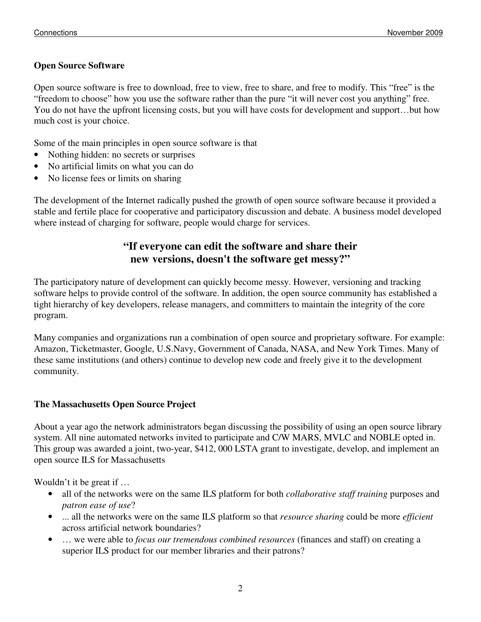#### **Open Source Software**

Open source software is free to download, free to view, free to share, and free to modify. This "free" is the "freedom to choose" how you use the software rather than the pure "it will never cost you anything" free. You do not have the upfront licensing costs, but you will have costs for development and support…but how much cost is your choice.

Some of the main principles in open source software is that

- Nothing hidden: no secrets or surprises
- No artificial limits on what you can do
- No license fees or limits on sharing

The development of the Internet radically pushed the growth of open source software because it provided a stable and fertile place for cooperative and participatory discussion and debate. A business model developed where instead of charging for software, people would charge for services.

# **"If everyone can edit the software and share their new versions, doesn't the software get messy?"**

The participatory nature of development can quickly become messy. However, versioning and tracking software helps to provide control of the software. In addition, the open source community has established a tight hierarchy of key developers, release managers, and committers to maintain the integrity of the core program.

Many companies and organizations run a combination of open source and proprietary software. For example: Amazon, Ticketmaster, Google, U.S.Navy, Government of Canada, NASA, and New York Times. Many of these same institutions (and others) continue to develop new code and freely give it to the development community.

#### **The Massachusetts Open Source Project**

About a year ago the network administrators began discussing the possibility of using an open source library system. All nine automated networks invited to participate and C/W MARS, MVLC and NOBLE opted in. This group was awarded a joint, two-year, \$412, 000 LSTA grant to investigate, develop, and implement an open source ILS for Massachusetts

Wouldn't it be great if …

- all of the networks were on the same ILS platform for both *collaborative staff training* purposes and *patron ease of use*?
- ... all the networks were on the same ILS platform so that *resource sharing* could be more *efficient* across artificial network boundaries?
- … we were able to *focus our tremendous combined resources* (finances and staff) on creating a superior ILS product for our member libraries and their patrons?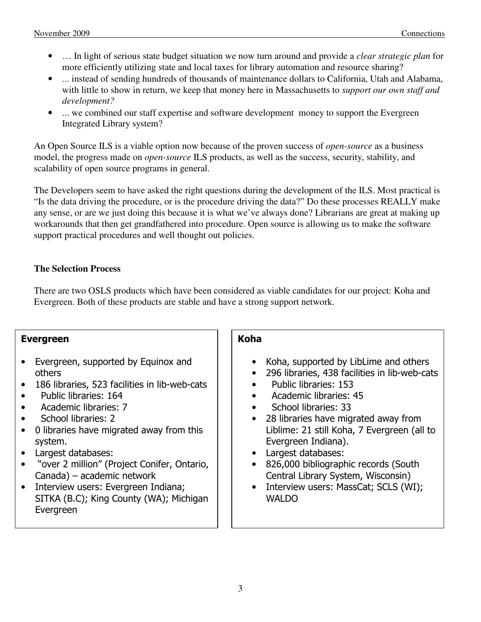- … In light of serious state budget situation we now turn around and provide a *clear strategic plan* for more efficiently utilizing state and local taxes for library automation and resource sharing?
- ... instead of sending hundreds of thousands of maintenance dollars to California, Utah and Alabama, with little to show in return, we keep that money here in Massachusetts to *support our own staff and development?*
- ... we combined our staff expertise and software development money to support the Evergreen Integrated Library system?

An Open Source ILS is a viable option now because of the proven success of *open-source* as a business model, the progress made on *open-source* ILS products, as well as the success, security, stability, and scalability of open source programs in general.

The Developers seem to have asked the right questions during the development of the ILS. Most practical is "Is the data driving the procedure, or is the procedure driving the data?" Do these processes REALLY make any sense, or are we just doing this because it is what we've always done? Librarians are great at making up workarounds that then get grandfathered into procedure. Open source is allowing us to make the software support practical procedures and well thought out policies.

#### **The Selection Process**

There are two OSLS products which have been considered as viable candidates for our project: Koha and Evergreen. Both of these products are stable and have a strong support network.

#### Evergreen

- Evergreen, supported by Equinox and others
- 186 libraries, 523 facilities in lib-web-cats
- Public libraries: 164
- Academic libraries: 7
- School libraries: 2
- 0 libraries have migrated away from this system.
- Largest databases:
- "over 2 million" (Project Conifer, Ontario, Canada) – academic network
- Interview users: Evergreen Indiana; SITKA (B.C); King County (WA); Michigan Evergreen

#### Koha

- Koha, supported by LibLime and others
- 296 libraries, 438 facilities in lib-web-cats
- Public libraries: 153
- Academic libraries: 45
- School libraries: 33
- 28 libraries have migrated away from Liblime: 21 still Koha, 7 Evergreen (all to Evergreen Indiana).
- Largest databases:
- 826,000 bibliographic records (South Central Library System, Wisconsin)
- Interview users: MassCat; SCLS (WI); **WALDO**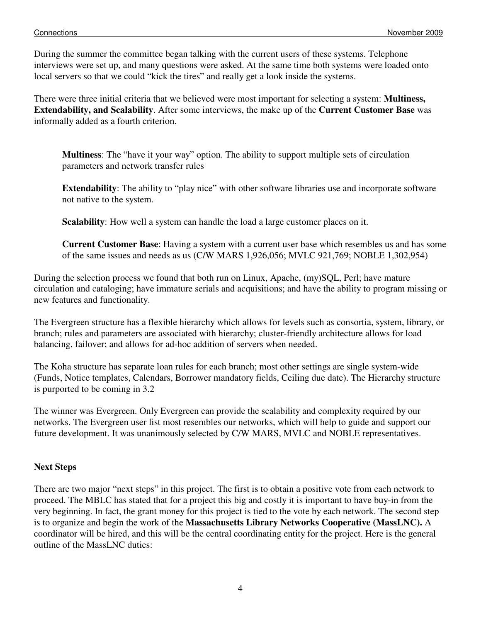During the summer the committee began talking with the current users of these systems. Telephone interviews were set up, and many questions were asked. At the same time both systems were loaded onto local servers so that we could "kick the tires" and really get a look inside the systems.

There were three initial criteria that we believed were most important for selecting a system: **Multiness, Extendability, and Scalability**. After some interviews, the make up of the **Current Customer Base** was informally added as a fourth criterion.

**Multiness**: The "have it your way" option. The ability to support multiple sets of circulation parameters and network transfer rules

**Extendability**: The ability to "play nice" with other software libraries use and incorporate software not native to the system.

**Scalability**: How well a system can handle the load a large customer places on it.

**Current Customer Base**: Having a system with a current user base which resembles us and has some of the same issues and needs as us (C/W MARS 1,926,056; MVLC 921,769; NOBLE 1,302,954)

During the selection process we found that both run on Linux, Apache, (my)SQL, Perl; have mature circulation and cataloging; have immature serials and acquisitions; and have the ability to program missing or new features and functionality.

The Evergreen structure has a flexible hierarchy which allows for levels such as consortia, system, library, or branch; rules and parameters are associated with hierarchy; cluster-friendly architecture allows for load balancing, failover; and allows for ad-hoc addition of servers when needed.

The Koha structure has separate loan rules for each branch; most other settings are single system-wide (Funds, Notice templates, Calendars, Borrower mandatory fields, Ceiling due date). The Hierarchy structure is purported to be coming in 3.2

The winner was Evergreen. Only Evergreen can provide the scalability and complexity required by our networks. The Evergreen user list most resembles our networks, which will help to guide and support our future development. It was unanimously selected by C/W MARS, MVLC and NOBLE representatives.

#### **Next Steps**

There are two major "next steps" in this project. The first is to obtain a positive vote from each network to proceed. The MBLC has stated that for a project this big and costly it is important to have buy-in from the very beginning. In fact, the grant money for this project is tied to the vote by each network. The second step is to organize and begin the work of the **Massachusetts Library Networks Cooperative (MassLNC).** A coordinator will be hired, and this will be the central coordinating entity for the project. Here is the general outline of the MassLNC duties: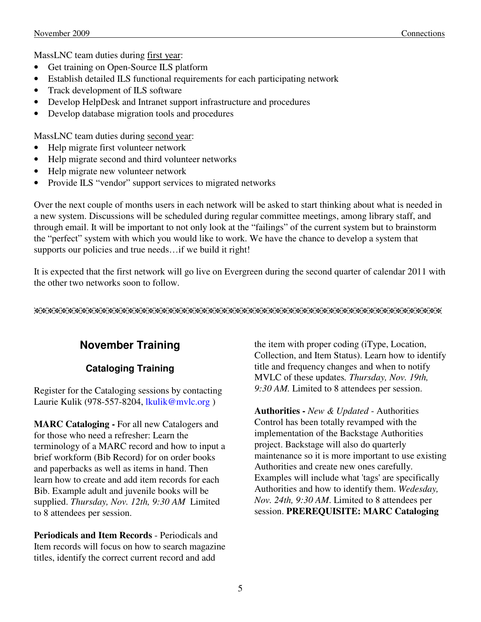MassLNC team duties during first year:

- Get training on Open-Source ILS platform
- Establish detailed ILS functional requirements for each participating network
- Track development of ILS software
- Develop HelpDesk and Intranet support infrastructure and procedures
- Develop database migration tools and procedures

MassLNC team duties during second year:

- Help migrate first volunteer network
- Help migrate second and third volunteer networks
- Help migrate new volunteer network
- Provide ILS "vendor" support services to migrated networks

Over the next couple of months users in each network will be asked to start thinking about what is needed in a new system. Discussions will be scheduled during regular committee meetings, among library staff, and through email. It will be important to not only look at the "failings" of the current system but to brainstorm the "perfect" system with which you would like to work. We have the chance to develop a system that supports our policies and true needs…if we build it right!

It is expected that the first network will go live on Evergreen during the second quarter of calendar 2011 with the other two networks soon to follow.

eeeeeeeeeeeeeeeeeeeeeeeeeeeeeeeeeeeeeeeeeeeeeeeeeeeeeeeeeeeee

# **November Training**

## **Cataloging Training**

Register for the Cataloging sessions by contacting Laurie Kulik (978-557-8204, lkulik@mvlc.org)

**MARC Cataloging -** For all new Catalogers and for those who need a refresher: Learn the terminology of a MARC record and how to input a brief workform (Bib Record) for on order books and paperbacks as well as items in hand. Then learn how to create and add item records for each Bib. Example adult and juvenile books will be supplied. *Thursday, Nov. 12th, 9:30 AM* Limited to 8 attendees per session.

**Periodicals and Item Records** - Periodicals and Item records will focus on how to search magazine titles, identify the correct current record and add

the item with proper coding (iType, Location, Collection, and Item Status). Learn how to identify title and frequency changes and when to notify MVLC of these updates*. Thursday, Nov. 19th, 9:30 AM.* Limited to 8 attendees per session.

**Authorities -** *New & Updated* - Authorities Control has been totally revamped with the implementation of the Backstage Authorities project. Backstage will also do quarterly maintenance so it is more important to use existing Authorities and create new ones carefully. Examples will include what 'tags' are specifically Authorities and how to identify them. *Wedesday, Nov. 24th, 9:30 AM*. Limited to 8 attendees per session. **PREREQUISITE: MARC Cataloging**